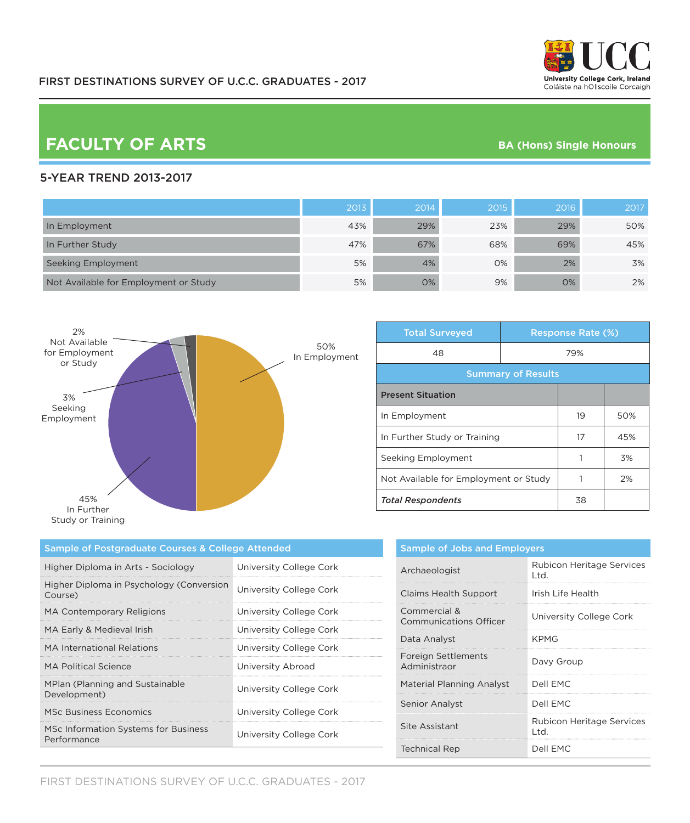

# **FACULTY OF ARTS BA (Hons) Single Honours**

### 5-YEAR TREND 2013-2017

|                                       | 2013 | 2014 | 2015 | 2016 | 2017 |
|---------------------------------------|------|------|------|------|------|
| In Employment                         | 43%  | 29%  | 23%  | 29%  | 50%  |
| In Further Study                      | 47%  | 67%  | 68%  | 69%  | 45%  |
| Seeking Employment                    | 5%   | 4%   | 0%   | 2%   | 3%   |
| Not Available for Employment or Study | 5%   | 0%   | 9%   | 0%   | 2%   |



| <b>Total Surveyed</b>                 |     | <b>Response Rate (%)</b> |     |  |
|---------------------------------------|-----|--------------------------|-----|--|
| 48                                    | 79% |                          |     |  |
| <b>Summary of Results</b>             |     |                          |     |  |
| <b>Present Situation</b>              |     |                          |     |  |
| In Employment                         |     | 19                       | 50% |  |
| In Further Study or Training          |     | 17                       | 45% |  |
| Seeking Employment                    |     |                          | 3%  |  |
| Not Available for Employment or Study |     |                          | 2%  |  |
| <b>Total Respondents</b>              |     | 38                       |     |  |

| Sample of Postgraduate Courses & College Attended   |                         |  |  |
|-----------------------------------------------------|-------------------------|--|--|
| Higher Diploma in Arts - Sociology                  | University College Cork |  |  |
| Higher Diploma in Psychology (Conversion<br>Course) | University College Cork |  |  |
| <b>MA Contemporary Religions</b>                    | University College Cork |  |  |
| MA Early & Medieval Irish                           | University College Cork |  |  |
| MA International Relations                          | University College Cork |  |  |
| MA Political Science                                | University Abroad       |  |  |
| MPlan (Planning and Sustainable<br>Development)     | University College Cork |  |  |
| <b>MSc Business Economics</b>                       | University College Cork |  |  |
| MSc Information Systems for Business<br>Performance | University College Cork |  |  |

| <b>Sample of Jobs and Employers</b>           |                                    |  |
|-----------------------------------------------|------------------------------------|--|
| Archaeologist                                 | Rubicon Heritage Services<br>l td. |  |
| <b>Claims Health Support</b>                  | Irish Life Health                  |  |
| Commercial &<br><b>Communications Officer</b> | University College Cork            |  |
| Data Analyst                                  | <b>KPMG</b>                        |  |
| Foreign Settlements<br>Administraor           | Davy Group                         |  |
| Material Planning Analyst                     | Dell FMC                           |  |
| <b>Senior Analyst</b>                         | Dell FMC                           |  |
| Site Assistant                                | Rubicon Heritage Services<br>l td. |  |
| <b>Technical Rep</b>                          | Dell EMC                           |  |